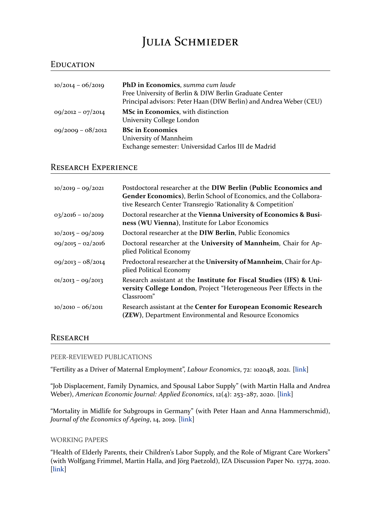# JULIA SCHMIEDER

## EDUCATION

| $10/2014 - 06/2019$ | PhD in Economics, summa cum laude<br>Free University of Berlin & DIW Berlin Graduate Center<br>Principal advisors: Peter Haan (DIW Berlin) and Andrea Weber (CEU) |
|---------------------|-------------------------------------------------------------------------------------------------------------------------------------------------------------------|
| $09/2012 - 07/2014$ | MSc in Economics, with distinction<br>University College London                                                                                                   |
| $09/2009 - 08/2012$ | <b>BSc in Economics</b><br>University of Mannheim<br>Exchange semester: Universidad Carlos III de Madrid                                                          |

## RESEARCH EXPERIENCE

| $10/2019 - 09/2021$ | Postdoctoral researcher at the DIW Berlin (Public Economics and<br>Gender Economics), Berlin School of Economics, and the Collabora-<br>tive Research Center Transregio 'Rationality & Competition' |
|---------------------|-----------------------------------------------------------------------------------------------------------------------------------------------------------------------------------------------------|
| $03/2016 - 10/2019$ | Doctoral researcher at the Vienna University of Economics & Busi-<br>ness (WU Vienna), Institute for Labor Economics                                                                                |
| $10/2015 - 09/2019$ | Doctoral researcher at the DIW Berlin, Public Economics                                                                                                                                             |
| $09/2015 - 02/2016$ | Doctoral researcher at the University of Mannheim, Chair for Ap-<br>plied Political Economy                                                                                                         |
| $09/2013 - 08/2014$ | Predoctoral researcher at the University of Mannheim, Chair for Ap-<br>plied Political Economy                                                                                                      |
| $01/2013 - 09/2013$ | Research assistant at the Institute for Fiscal Studies (IFS) & Uni-<br>versity College London, Project "Heterogeneous Peer Effects in the<br>Classroom"                                             |
| $10/2010 - 06/2011$ | Research assistant at the Center for European Economic Research<br>(ZEW), Department Environmental and Resource Economics                                                                           |

## RESEARCH

#### PEER‐REVIEWED PUBLICATIONS

"Fertility as a Driver of Maternal Employment", *Labour Economics*, 72: 102048, 2021. [link]

"Job Displacement, Family Dynamics, and Spousal Labor Supply" (with Martin Halla and Andrea Weber), *American Economic Journal: Applied Economics*, 12(4): 253–287, 2020. [link]

"Mortality in Midlife for Subgroups in Germany" (with Peter Haan and Anna Hammerschmid), *Journal of the Economics of Ageing*, 14, 2019. [link]

## WORKING PAPERS

"Health of Elderly Parents, their Children's L[abor](https://www.sciencedirect.com/science/article/pii/S2212828X18300550) Supply, and the Role of Migrant Care Workers" (with Wolfgang Frimmel, Martin Halla, and Jörg Paetzold), IZA Discussion Paper No. 13774, 2020. [link]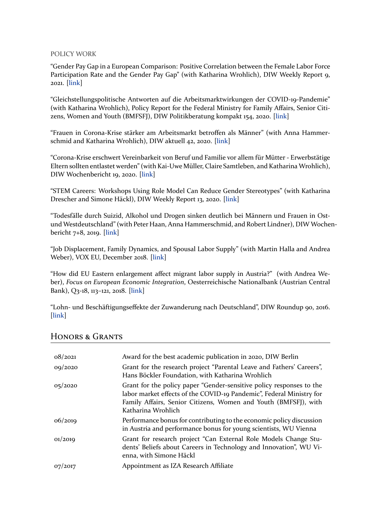#### POLICY WORK

"Gender Pay Gap in a European Comparison: Positive Correlation between the Female Labor Force Participation Rate and the Gender Pay Gap" (with Katharina Wrohlich), DIW Weekly Report 9, 2021. [link]

"Gleichstellungspolitische Antworten auf die Arbeitsmarktwirkungen der COVID‐19‐Pandemie" (with Katharina Wrohlich), Policy Report for the Federal Ministry for Family Affairs, Senior Citi‐ zens, [Wom](https://www.diw.de/documents/publikationen/73/diw_01.c.812299.de/dwr-21-09-1.pdf)en and Youth (BMFSFJ), DIW Politikberatung kompakt 154, 2020. [link]

"Frauen in Corona‐Krise stärker am Arbeitsmarkt betroffen als Männer" (with Anna Hammer‐ schmid and Katharina Wrohlich), DIW aktuell 42, 2020. [link]

"Corona‐Krise erschwert Vereinbarkeit von Beruf und Familie vor allem für Mütter ‐ Erwerbstätige Eltern sollten entlastet werden" (with Kai‐Uwe Müller, Clai[re Sa](https://www.diw.de/de/diw_01.c.789751.de/publikationen/diw_aktuell/2020_0042/frauen_in_corona-krise_staerker_am_arbeitsmarkt_betroffen_als_maenner.html)mtleben, and Katharina Wrohlich), DIW Wochenbericht 19, 2020. [link]

"STEM Careers: Workshops Using Role Model Can Reduce Gender Stereotypes" (with Katharina Drescher and Simone Häckl), [DIW](https://www.diw.de/de/diw_01.c.787888.de/publikationen/wochenberichte/2020_19_1/corona-krise_erschwert_vereinbarkeit_von_beruf_und_familie_v___r_muetter_____erwerbstaetige_eltern_sollten_entlastet_werden.html) Weekly Report 13, 2020. [link]

"Todesfälle durch Suizid, Alkohol und Drogen sinken deutlich bei Männern und Frauen in Ost‐ und Westdeutschland" (with Peter Haan, Anna Hammersch[mid, a](https://www.diw.de/de/diw_01.c.745432.de/publikationen/weekly_reports/2020_13_1/stem_careers__workshops_using_role_model_can_reduce_gender_stereotypes.html)nd Robert Lindner), DIW Wochenbericht 7+8, 2019. [link]

"Job Displacement, Family Dynamics, and Spousal Labor Supply" (with Martin Halla and Andrea Weber), VOX EU, [Decem](https://www.diw.de/sixcms/detail.php?id=diw_01.c.613187.de)ber 2018. [link]

"How did EU Eastern enlargement affect migrant labor supply in Austria?" (with Andrea We‐ ber), *Focus on European Economic [Integ](https://voxeu.org/article/job-displacement-family-dynamics-and-spousal-labour-supply)ration*, Oesterreichische Nationalbank (Austrian Central Bank), Q3‐18, 113–121, 2018. [link]

"Lohn‐ und Beschäftigungseffekte der Zuwanderung nach Deutschland", DIW Roundup 90, 2016. [link]

| 08/2021 | Award for the best academic publication in 2020, DIW Berlin                                                                                                                                                                           |
|---------|---------------------------------------------------------------------------------------------------------------------------------------------------------------------------------------------------------------------------------------|
| 09/2020 | Grant for the research project "Parental Leave and Fathers' Careers",<br>Hans Böckler Foundation, with Katharina Wrohlich                                                                                                             |
| 05/2020 | Grant for the policy paper "Gender-sensitive policy responses to the<br>labor market effects of the COVID-19 Pandemic", Federal Ministry for<br>Family Affairs, Senior Citizens, Women and Youth (BMFSFJ), with<br>Katharina Wrohlich |
| 06/2019 | Performance bonus for contributing to the economic policy discussion<br>in Austria and performance bonus for young scientists, WU Vienna                                                                                              |
| 01/2019 | Grant for research project "Can External Role Models Change Stu-<br>dents' Beliefs about Careers in Technology and Innovation", WU Vi-<br>enna, with Simone Häckl                                                                     |
| 07/2017 | Appointment as IZA Research Affiliate                                                                                                                                                                                                 |

## HONORS & GRANTS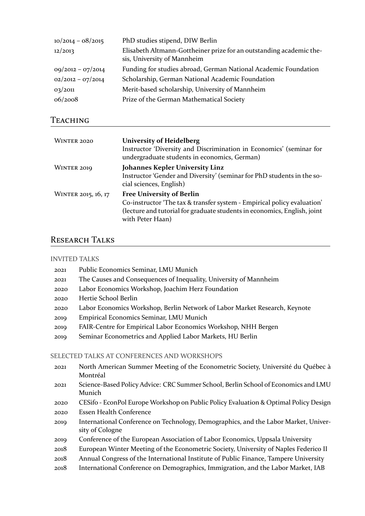| $10/2014 - 08/2015$ | PhD studies stipend, DIW Berlin                                                                    |
|---------------------|----------------------------------------------------------------------------------------------------|
| 12/2013             | Elisabeth Altmann-Gottheiner prize for an outstanding academic the-<br>sis, University of Mannheim |
| $09/2012 - 07/2014$ | Funding for studies abroad, German National Academic Foundation                                    |
| $02/2012 - 07/2014$ | Scholarship, German National Academic Foundation                                                   |
| 03/2011             | Merit-based scholarship, University of Mannheim                                                    |
| 06/2008             | Prize of the German Mathematical Society                                                           |

## TEACHING

| WINTER 2020         | <b>University of Heidelberg</b><br>Instructor 'Diversity and Discrimination in Economics' (seminar for<br>undergraduate students in economics, German)                                                      |
|---------------------|-------------------------------------------------------------------------------------------------------------------------------------------------------------------------------------------------------------|
| WINTER 2019         | <b>Johannes Kepler University Linz</b><br>Instructor 'Gender and Diversity' (seminar for PhD students in the so-<br>cial sciences, English)                                                                 |
| WINTER 2015, 16, 17 | <b>Free University of Berlin</b><br>Co-instructor 'The tax & transfer system - Empirical policy evaluation'<br>(lecture and tutorial for graduate students in economics, English, joint<br>with Peter Haan) |

## RESEARCH TALKS

## INVITED TALKS

- 2021 Public Economics Seminar, LMU Munich
- 2021 The Causes and Consequences of Inequality, University of Mannheim
- 2020 Labor Economics Workshop, Joachim Herz Foundation
- 2020 Hertie School Berlin
- 2020 Labor Economics Workshop, Berlin Network of Labor Market Research, Keynote
- 2019 Empirical Economics Seminar, LMU Munich
- 2019 FAIR‐Centre for Empirical Labor Economics Workshop, NHH Bergen
- 2019 Seminar Econometrics and Applied Labor Markets, HU Berlin

## SELECTED TALKS AT CONFERENCES AND WORKSHOPS

- 2021 North American Summer Meeting of the Econometric Society, Université du Québec à Montréal
- 2021 Science‐Based Policy Advice: CRC Summer School, Berlin School of Economics and LMU Munich
- 2020 CESifo ‐ EconPol Europe Workshop on Public Policy Evaluation & Optimal Policy Design
- 2020 Essen Health Conference
- 2019 International Conference on Technology, Demographics, and the Labor Market, University of Cologne
- 2019 Conference of the European Association of Labor Economics, Uppsala University
- 2018 European Winter Meeting of the Econometric Society, University of Naples Federico II
- 2018 Annual Congress of the International Institute of Public Finance, Tampere University
- 2018 International Conference on Demographics, Immigration, and the Labor Market, IAB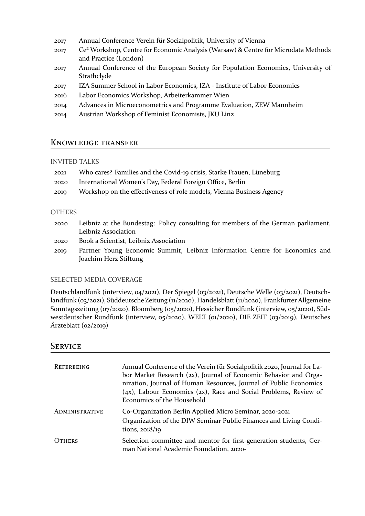- 2017 Annual Conference Verein für Socialpolitik, University of Vienna
- 2017 Ce² Workshop, Centre for Economic Analysis (Warsaw) & Centre for Microdata Methods and Practice (London)
- 2017 Annual Conference of the European Society for Population Economics, University of Strathclyde
- 2017 IZA Summer School in Labor Economics, IZA ‐ Institute of Labor Economics
- 2016 Labor Economics Workshop, Arbeiterkammer Wien
- 2014 Advances in Microeconometrics and Programme Evaluation, ZEW Mannheim
- 2014 Austrian Workshop of Feminist Economists, JKU Linz

## KNOWLEDGE TRANSFER

#### INVITED TALKS

| 2021 | Who cares? Families and the Covid-19 crisis, Starke Frauen, Lüneburg |
|------|----------------------------------------------------------------------|
| 2020 | International Women's Day, Federal Foreign Office, Berlin            |
| 2019 | Workshop on the effectiveness of role models, Vienna Business Agency |

#### **OTHERS**

- 2020 Leibniz at the Bundestag: Policy consulting for members of the German parliament, Leibniz Association
- 2020 Book a Scientist, Leibniz Association
- 2019 Partner Young Economic Summit, Leibniz Information Centre for Economics and Joachim Herz Stiftung

## SELECTED MEDIA COVERAGE

Deutschlandfunk (interview, 04/2021), Der Spiegel (03/2021), Deutsche Welle (03/2021), Deutsch‐ landfunk (03/2021), Süddeutsche Zeitung (11/2020), Handelsblatt (11/2020), Frankfurter Allgemeine Sonntagszeitung (07/2020), Bloomberg (05/2020), Hessicher Rundfunk (interview, 05/2020), Süd‐ westdeutscher Rundfunk (interview, 05/2020), WELT (01/2020), DIE ZEIT (03/2019), Deutsches Ärzteblatt (02/2019)

## **SERVICE**

| REFEREEING            | Annual Conference of the Verein für Socialpolitik 2020, Journal for La-<br>bor Market Research (2x), Journal of Economic Behavior and Orga-<br>nization, Journal of Human Resources, Journal of Public Economics<br>$(4x)$ , Labour Economics $(2x)$ , Race and Social Problems, Review of<br>Economics of the Household |
|-----------------------|--------------------------------------------------------------------------------------------------------------------------------------------------------------------------------------------------------------------------------------------------------------------------------------------------------------------------|
| <b>ADMINISTRATIVE</b> | Co-Organization Berlin Applied Micro Seminar, 2020-2021<br>Organization of the DIW Seminar Public Finances and Living Condi-<br>tions, $2018/19$                                                                                                                                                                         |
| OTHERS                | Selection committee and mentor for first-generation students, Ger-<br>man National Academic Foundation, 2020-                                                                                                                                                                                                            |